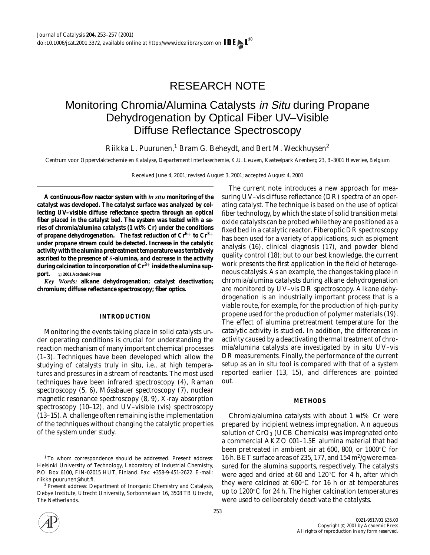# RESEARCH NOTE

## Monitoring Chromia/Alumina Catalysts in Situ during Propane Dehydrogenation by Optical Fiber UV–Visible Diffuse Reflectance Spectroscopy

Riikka L. Puurunen,<sup>1</sup> Bram G. Beheydt, and Bert M. Weckhuysen<sup>2</sup>

*Centrum voor Oppervlaktechemie en Katalyse, Departement Interfasechemie, K.U. Leuven, Kasteelpark Arenberg 23, B-3001 Heverlee, Belgium*

Received June 4, 2001; revised August 3, 2001; accepted August 4, 2001

**A continuous-flow reactor system with** *in situ* **monitoring of the catalyst was developed. The catalyst surface was analyzed by collecting UV–visible diffuse reflectance spectra through an optical fiber placed in the catalyst bed. The system was tested with a series of chromia/alumina catalysts (1 wt% Cr) under the conditions of propane dehydrogenation. The fast reduction of Cr6**<sup>+</sup> **to Cr3**<sup>+</sup> **under propane stream could be detected. Increase in the catalytic activity with the alumina pretreatment temperature was tentatively ascribed to the presence of** θ**-alumina, and decrease in the activity during calcination to incorporation of Cr3**<sup>+</sup> **inside the alumina support.** °<sup>c</sup> **2001 Academic Press**

*Key Words:* **alkane dehydrogenation; catalyst deactivation; chromium; diffuse reflectance spectroscopy; fiber optics.**

## **INTRODUCTION**

Monitoring the events taking place in solid catalysts under operating conditions is crucial for understanding the reaction mechanism of many important chemical processes (1–3). Techniques have been developed which allow the studying of catalysts truly *in situ*, i.e., at high temperatures and pressures in a stream of reactants. The most used techniques have been infrared spectroscopy (4), Raman spectroscopy  $(5, 6)$ , Mössbauer spectroscopy  $(7)$ , nuclear magnetic resonance spectroscopy (8, 9), X-ray absorption spectroscopy (10–12), and UV–visible (vis) spectroscopy (13–15). A challenge often remaining is the implementation of the techniques without changing the catalytic properties of the system under study.

The current note introduces a new approach for measuring UV–vis diffuse reflectance (DR) spectra of an operating catalyst. The technique is based on the use of optical fiber technology, by which the state of solid transition metal oxide catalysts can be probed while they are positioned as a fixed bed in a catalytic reactor. Fiberoptic DR spectroscopy has been used for a variety of applications, such as pigment analysis (16), clinical diagnosis (17), and powder blend quality control (18); but to our best knowledge, the current work presents the first application in the field of heterogeneous catalysis. As an example, the changes taking place in chromia/alumina catalysts during alkane dehydrogenation are monitored by UV–vis DR spectroscopy. Alkane dehydrogenation is an industrially important process that is a viable route, for example, for the production of high-purity propene used for the production of polymer materials (19). The effect of alumina pretreatment temperature for the catalytic activity is studied. In addition, the differences in activity caused by a deactivating thermal treatment of chromia/alumina catalysts are investigated by *in situ* UV–vis DR measurements. Finally, the performance of the current setup as an *in situ* tool is compared with that of a system reported earlier (13, 15), and differences are pointed out.

#### **METHODS**

Chromia/alumina catalysts with about 1 wt% Cr were prepared by incipient wetness impregnation. An aqueous solution of  $CrO<sub>3</sub>$  (UCB Chemicals) was impregnated onto a commercial AKZO 001–1.5E alumina material that had been pretreated in ambient air at 600, 800, or 1000◦C for 16 h. BET surface areas of 235, 177, and 154  $\rm m^2/g$  were measured for the alumina supports, respectively. The catalysts were aged and dried at 60 and 120◦C for 4 h, after which they were calcined at 600◦C for 16 h or at temperatures up to 1200◦C for 24 h. The higher calcination temperatures were used to deliberately deactivate the catalysts.



<sup>&</sup>lt;sup>1</sup> To whom correspondence should be addressed. Present address: Helsinki University of Technology, Laboratory of Industrial Chemistry, P.O. Box 6100, FIN-02015 HUT, Finland. Fax: +358-9-451-2622. E-mail: riikka.puurunen@hut.fi.

<sup>2</sup> Present address: Department of Inorganic Chemistry and Catalysis, Debye Institute, Utrecht University, Sorbonnelaan 16, 3508 TB Utrecht, The Netherlands.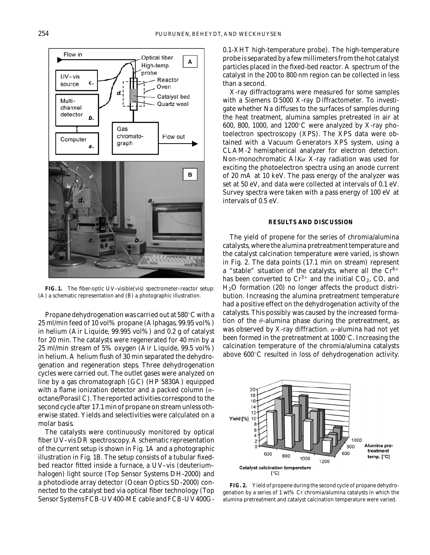

**FIG. 1.** The fiber-optic UV–visible(vis) spectrometer–reactor setup: (A) a schematic representation and (B) a photographic illustration.

Propane dehydrogenation was carried out at 580◦C with a 25 ml/min feed of 10 vol% propane (Alphagas, 99.95 vol%) in helium (Air Liquide, 99.995 vol%) and 0.2 g of catalyst for 20 min. The catalysts were regenerated for 40 min by a 25 ml/min stream of 5% oxygen (Air Liquide, 99.5 vol%) in helium. A helium flush of 30 min separated the dehydrogenation and regeneration steps. Three dehydrogenation cycles were carried out. The outlet gases were analyzed on line by a gas chromatograph (GC) (HP 5830A) equipped with a flame ionization detector and a packed column (*n*octane/Porasil C). The reported activities correspond to the second cycle after 17.1 min of propane on stream unless otherwise stated. Yields and selectivities were calculated on a molar basis.

The catalysts were continuously monitored by optical fiber UV–vis DR spectroscopy. A schematic representation of the current setup is shown in Fig. 1A and a photographic illustration in Fig. 1B. The setup consists of a tubular fixedbed reactor fitted inside a furnace, a UV–vis (deuterium– halogen) light source (Top Sensor Systems DH-2000) and a photodiode array detector (Ocean Optics SD-2000) connected to the catalyst bed via optical fiber technology (Top Sensor Systems FCB-UV400-ME cable and FCB-UV400G- 0.1-XHT high-temperature probe). The high-temperature probe is separated by a few millimeters from the hot catalyst particles placed in the fixed-bed reactor. A spectrum of the catalyst in the 200 to 800 nm region can be collected in less than a second.

X-ray diffractograms were measured for some samples with a Siemens D5000 X-ray Diffractometer. To investigate whether Na diffuses to the surfaces of samples during the heat treatment, alumina samples pretreated in air at 600, 800, 1000, and 1200◦C were analyzed by X-ray photoelectron spectroscopy (XPS). The XPS data were obtained with a Vacuum Generators XPS system, using a CLAM-2 hemispherical analyzer for electron detection. Non-monochromatic Al*K*α X-ray radiation was used for exciting the photoelectron spectra using an anode current of 20 mA at 10 keV. The pass energy of the analyzer was set at 50 eV, and data were collected at intervals of 0.1 eV. Survey spectra were taken with a pass energy of 100 eV at intervals of 0.5 eV.

### **RESULTS AND DISCUSSION**

The yield of propene for the series of chromia/alumina catalysts, where the alumina pretreatment temperature and the catalyst calcination temperature were varied, is shown in Fig. 2. The data points (17.1 min on stream) represent a "stable" situation of the catalysts, where all the  $Cr^{6+}$ has been converted to  $Cr^{3+}$  and the initial  $CO_2$ , CO, and  $H<sub>2</sub>O$  formation (20) no longer affects the product distribution. Increasing the alumina pretreatment temperature had a positive effect on the dehydrogenation activity of the catalysts. This possibly was caused by the increased formation of the  $\theta$ -alumina phase during the pretreatment, as was observed by X-ray diffraction.  $\alpha$ -alumina had not yet been formed in the pretreatment at 1000◦C. Increasing the calcination temperature of the chromia/alumina catalysts above 600◦C resulted in loss of dehydrogenation activity.



**FIG. 2.** Yield of propene during the second cycle of propane dehydrogenation by a series of 1 wt% Cr chromia/alumina catalysts in which the alumina pretreatment and catalyst calcination temperature were varied.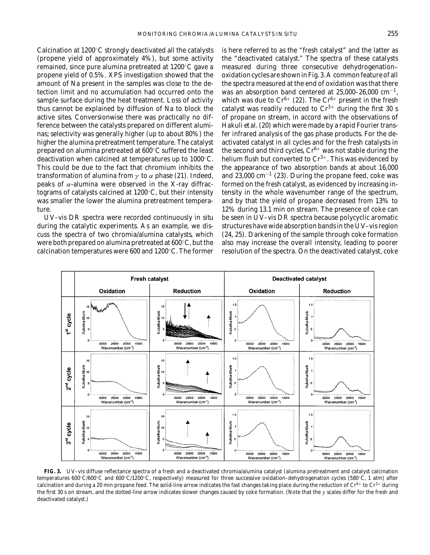Calcination at 1200◦C strongly deactivated all the catalysts (propene yield of approximately 4%), but some activity remained, since pure alumina pretreated at 1200◦C gave a propene yield of 0.5%. XPS investigation showed that the amount of Na present in the samples was close to the detection limit and no accumulation had occurred onto the sample surface during the heat treatment. Loss of activity thus cannot be explained by diffusion of Na to block the active sites. Conversionwise there was practically no difference between the catalysts prepared on different aluminas; selectivity was generally higher (up to about 80%) the higher the alumina pretreatment temperature. The catalyst prepared on alumina pretreated at 600◦C suffered the least deactivation when calcined at temperatures up to 1000◦C. This could be due to the fact that chromium inhibits the transformation of alumina from  $\gamma$  to  $\alpha$  phase (21). Indeed, peaks of α-alumina were observed in the X-ray diffractograms of catalysts calcined at 1200◦C, but their intensity was smaller the lower the alumina pretreatment temperature.

UV–vis DR spectra were recorded continuously *in situ* during the catalytic experiments. As an example, we discuss the spectra of two chromia/alumina catalysts, which were both prepared on alumina pretreated at 600◦C, but the calcination temperatures were 600 and 1200◦C. The former

is here referred to as the "fresh catalyst" and the latter as the "deactivated catalyst." The spectra of these catalysts measured during three consecutive dehydrogenation– oxidation cycles are shown in Fig. 3. A common feature of all the spectra measured at the end of oxidation was that there was an absorption band centered at  $25,000-26,000$  cm<sup>-1</sup>, which was due to  $Cr^{6+}$  (22). The  $Cr^{6+}$  present in the fresh catalyst was readily reduced to  $Cr^{3+}$  during the first 30 s of propane on stream, in accord with the observations of Hakuli *et al*. (20) which were made by a rapid Fourier transfer infrared analysis of the gas phase products. For the deactivated catalyst in all cycles and for the fresh catalysts in the second and third cycles,  $Cr^{6+}$  was not stable during the helium flush but converted to  $Cr^{3+}$ . This was evidenced by the appearance of two absorption bands at about 16,000 and  $23,000$  cm<sup>-1</sup> (23). During the propane feed, coke was formed on the fresh catalyst, as evidenced by increasing intensity in the whole wavenumber range of the spectrum, and by that the yield of propane decreased from 13% to 12% during 13.1 min on stream. The presence of coke can be seen in UV–vis DR spectra because polycyclic aromatic structures have wide absorption bands in the UV–vis region (24, 25). Darkening of the sample through coke formation also may increase the overall intensity, leading to poorer resolution of the spectra. On the deactivated catalyst, coke



**FIG. 3.** UV–vis diffuse reflectance spectra of a fresh and a deactivated chromia/alumina catalyst (alumina pretreatment and catalyst calcination temperatures 600◦C/600◦C and 600◦C/1200◦C, respectively) measured for three successive oxidation–dehydrogenation cycles (580◦C, 1 atm) after calcination and during a 20 min propane feed. The solid-line arrow indicates the fast changes taking place during the reduction of  $Cr^{6+}$  to  $Cr^{3+}$  during the first 30 s on stream, and the dotted-line arrow indicates slower changes caused by coke formation. (Note that the *y* scales differ for the fresh and deactivated catalyst.)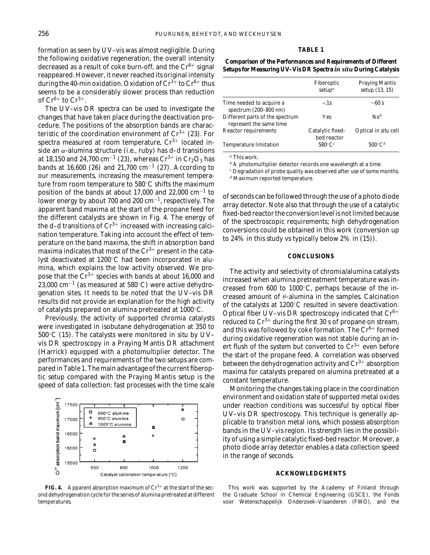#### **TABLE 1**

formation as seen by UV–vis was almost negligible. During the following oxidative regeneration, the overall intensity decreased as a result of coke burn-off, and the  $Cr^{6+}$  signal reappeared. However, it never reached its original intensity during the 40-min oxidation. Oxidation of  $Cr^{3+}$  to  $Cr^{6+}$  thus seems to be a considerably slower process than reduction of  $Cr^{6+}$  to  $Cr^{3+}$ .

The UV–vis DR spectra can be used to investigate the changes that have taken place during the deactivation procedure. The positions of the absorption bands are characteristic of the coordination environment of  $Cr^{3+}$  (23). For spectra measured at room temperature,  $Cr^{3+}$  located inside an  $\alpha$ -alumina structure (i.e., ruby) has d-d transitions at 18,150 and 24,700 cm<sup>-1</sup> (23), whereas  $Cr^{3+}$  in  $Cr_2O_3$  has bands at 16,600 (26) and 21,700 cm<sup>-1</sup> (27). According to our measurements, increasing the measurement temperature from room temperature to 580◦C shifts the maximum position of the bands at about 17,000 and 22,000 cm<sup>-1</sup> to lower energy by about 700 and 200 cm<sup>-1</sup>, respectively. The apparent band maxima at the start of the propane feed for the different catalysts are shown in Fig. 4. The energy of the d-d transitions of  $Cr^{3+}$  increased with increasing calcination temperature. Taking into account the effect of temperature on the band maxima, the shift in absorption band maxima indicates that most of the  $Cr^{3+}$  present in the catalyst deactivated at 1200◦C had been incorporated in alumina, which explains the low activity observed. We propose that the  $Cr^{3+}$  species with bands at about 16,000 and 23,000 cm−<sup>1</sup> (as measured at 580◦C) were active dehydrogenation sites. It needs to be noted that the UV–vis DR results did not provide an explanation for the high activity of catalysts prepared on alumina pretreated at 1000◦C.

Previously, the activity of supported chromia catalysts were investigated in isobutane dehydrogenation at 350 to 500◦C (15). The catalysts were monitored *in situ* by UV– vis DR spectroscopy in a Praying Mantis DR attachment (Harrick) equipped with a photomultiplier detector. The performances and requirements of the two setups are compared in Table 1. The main advantage of the current fiberoptic setup compared with the Praying Mantis setup is the speed of data collection: fast processes with the time scale



**FIG. 4.** Apparent absorption maximum of  $Cr<sup>3+</sup>$  at the start of the second dehydrogenation cycle for the series of alumina pretreated at different temperatures.

**Comparison of the Performances and Requirements of Different Setups for Measuring UV–Vis DR Spectra** *in situ* **During Catalysis**

|                                                            | Fiberoptic<br>setup <sup>a</sup> | <b>Praying Mantis</b><br>setup (13, 15) |
|------------------------------------------------------------|----------------------------------|-----------------------------------------|
| Time needed to acquire a<br>spectrum (200-800 nm)          | $\langle$ 1s                     | $\sim$ 60 s                             |
| Different parts of the spectrum<br>represent the same time | Yes                              | $\mathbf{N} \mathbf{o}^b$               |
| <b>Reactor requirements</b>                                | Catalytic fixed-<br>bed reactor  | Optical <i>in situ</i> cell             |
| <b>Temperature limitation</b>                              | $580^{\circ}$ C $^{c}$           | $500^{\circ}C^d$                        |

*<sup>a</sup>* This work.

*<sup>b</sup>* A photomultiplier detector records one wavelength at a time.

*<sup>c</sup>* Degradation of probe quality was observed after use of some months.

*<sup>d</sup>* Maximum reported temperature.

of seconds can be followed through the use of a photo diode array detector. Note also that through the use of a catalytic fixed-bed reactor the conversion level is not limited because of the spectroscopic requirements; high dehydrogenation conversions could be obtained in this work (conversion up to 24% in this study vs typically below 2% in (15)).

### **CONCLUSIONS**

The activity and selectivity of chromia/alumina catalysts increased when alumina pretreatment temperature was increased from 600 to 1000◦C, perhaps because of the increased amount of  $\theta$ -alumina in the samples. Calcination of the catalysts at 1200◦C resulted in severe deactivation. Optical fiber UV–vis DR spectroscopy indicated that  $Cr^{6+}$ reduced to  $Cr^{3+}$  during the first 30 s of propane on stream, and this was followed by coke formation. The  $Cr^{6+}$  formed during oxidative regeneration was not stable during an inert flush of the system but converted to  $Cr^{3+}$  even before the start of the propane feed. A correlation was observed between the dehydrogenation activity and  $Cr^{3+}$  absorption maxima for catalysts prepared on alumina pretreated at a constant temperature.

Monitoring the changes taking place in the coordination environment and oxidation state of supported metal oxides under reaction conditions was successful by optical fiber UV–vis DR spectroscopy. This technique is generally applicable to transition metal ions, which possess absorption bands in the UV–vis region. Its strength lies in the possibility of using a simple catalytic fixed-bed reactor. Moreover, a photo diode array detector enables a data collection speed in the range of seconds.

#### **ACKNOWLEDGMENTS**

This work was supported by the Academy of Finland through the Graduate School in Chemical Engineering (GSCE), the Fonds voor Wetenschappelijk Onderzoek–Vlaanderen (FWO), and the